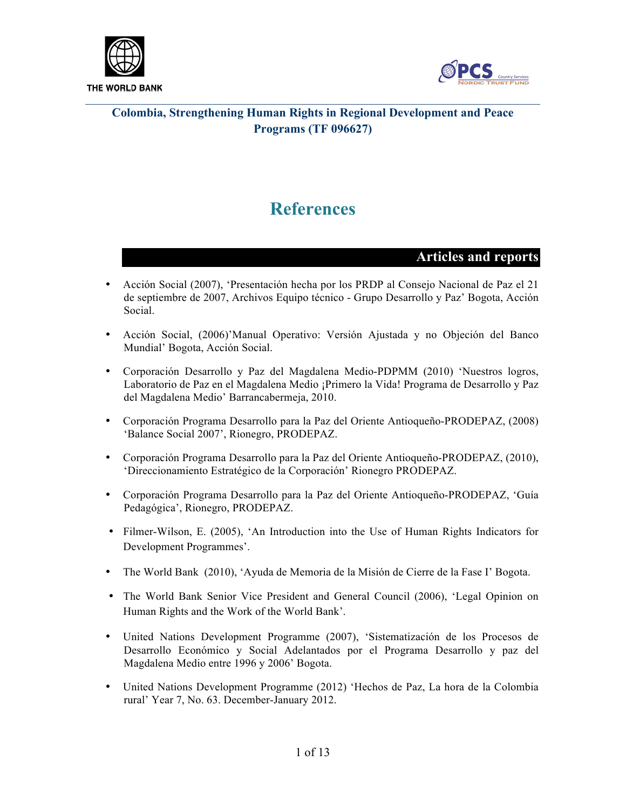



# **References**

#### **Articles and reports**

- Acción Social (2007), 'Presentación hecha por los PRDP al Consejo Nacional de Paz el 21 de septiembre de 2007, Archivos Equipo técnico - Grupo Desarrollo y Paz' Bogota, Acción Social.
- Acción Social, (2006)'Manual Operativo: Versión Ajustada y no Objeción del Banco Mundial' Bogota, Acción Social.
- Corporación Desarrollo y Paz del Magdalena Medio-PDPMM (2010) 'Nuestros logros, Laboratorio de Paz en el Magdalena Medio ¡Primero la Vida! Programa de Desarrollo y Paz del Magdalena Medio' Barrancabermeja, 2010.
- Corporación Programa Desarrollo para la Paz del Oriente Antioqueño-PRODEPAZ, (2008) 'Balance Social 2007', Rionegro, PRODEPAZ.
- Corporación Programa Desarrollo para la Paz del Oriente Antioqueño-PRODEPAZ, (2010), 'Direccionamiento Estratégico de la Corporación' Rionegro PRODEPAZ.
- Corporación Programa Desarrollo para la Paz del Oriente Antioqueño-PRODEPAZ, 'Guía Pedagógica', Rionegro, PRODEPAZ.
- Filmer-Wilson, E. (2005), 'An Introduction into the Use of Human Rights Indicators for Development Programmes'.
- The World Bank (2010), 'Ayuda de Memoria de la Misión de Cierre de la Fase I' Bogota.
- The World Bank Senior Vice President and General Council (2006), 'Legal Opinion on Human Rights and the Work of the World Bank'.
- United Nations Development Programme (2007), 'Sistematización de los Procesos de Desarrollo Económico y Social Adelantados por el Programa Desarrollo y paz del Magdalena Medio entre 1996 y 2006' Bogota.
- United Nations Development Programme (2012) 'Hechos de Paz, La hora de la Colombia rural' Year 7, No. 63. December-January 2012.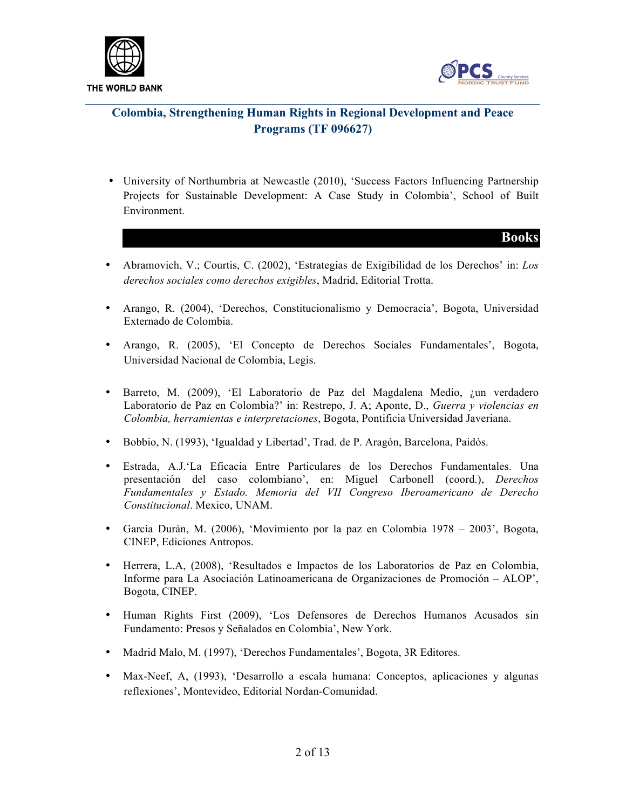



- University of Northumbria at Newcastle (2010), 'Success Factors Influencing Partnership Projects for Sustainable Development: A Case Study in Colombia', School of Built Environment.
	- **Books**
- Abramovich, V.; Courtis, C. (2002), 'Estrategias de Exigibilidad de los Derechos' in: *Los derechos sociales como derechos exigibles*, Madrid, Editorial Trotta.
- Arango, R. (2004), 'Derechos, Constitucionalismo y Democracia', Bogota, Universidad Externado de Colombia.
- Arango, R. (2005), 'El Concepto de Derechos Sociales Fundamentales', Bogota, Universidad Nacional de Colombia, Legis.
- Barreto, M. (2009), 'El Laboratorio de Paz del Magdalena Medio, ¿un verdadero Laboratorio de Paz en Colombia?' in: Restrepo, J. A; Aponte, D., *Guerra y violencias en Colombia, herramientas e interpretaciones*, Bogota, Pontificia Universidad Javeriana.
- Bobbio, N. (1993), 'Igualdad y Libertad', Trad. de P. Aragón, Barcelona, Paidós.
- Estrada, A.J.'La Eficacia Entre Particulares de los Derechos Fundamentales. Una presentación del caso colombiano', en: Miguel Carbonell (coord.), *Derechos Fundamentales y Estado. Memoria del VII Congreso Iberoamericano de Derecho Constitucional*. Mexico, UNAM.
- García Durán, M. (2006), 'Movimiento por la paz en Colombia 1978 2003', Bogota, CINEP, Ediciones Antropos.
- Herrera, L.A, (2008), 'Resultados e Impactos de los Laboratorios de Paz en Colombia, Informe para La Asociación Latinoamericana de Organizaciones de Promoción – ALOP', Bogota, CINEP.
- Human Rights First (2009), 'Los Defensores de Derechos Humanos Acusados sin Fundamento: Presos y Señalados en Colombia', New York.
- Madrid Malo, M. (1997), 'Derechos Fundamentales', Bogota, 3R Editores.
- Max-Neef, A, (1993), 'Desarrollo a escala humana: Conceptos, aplicaciones y algunas reflexiones', Montevideo, Editorial Nordan-Comunidad.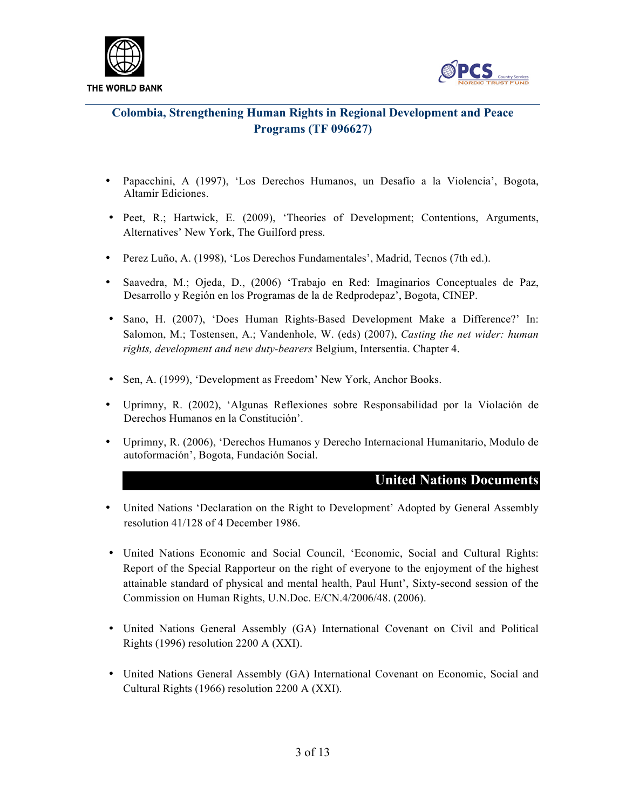

THE WORLD BANK



## **Colombia, Strengthening Human Rights in Regional Development and Peace Programs (TF 096627)**

- Papacchini, A (1997), 'Los Derechos Humanos, un Desafío a la Violencia', Bogota, Altamir Ediciones.
- Peet, R.; Hartwick, E. (2009), 'Theories of Development; Contentions, Arguments, Alternatives' New York, The Guilford press.
- Perez Luño, A. (1998), 'Los Derechos Fundamentales', Madrid, Tecnos (7th ed.).
- Saavedra, M.; Ojeda, D., (2006) 'Trabajo en Red: Imaginarios Conceptuales de Paz, Desarrollo y Región en los Programas de la de Redprodepaz', Bogota, CINEP.
- Sano, H. (2007), 'Does Human Rights-Based Development Make a Difference?' In: Salomon, M.; Tostensen, A.; Vandenhole, W. (eds) (2007), *Casting the net wider: human rights, development and new duty-bearers* Belgium, Intersentia. Chapter 4.
- Sen, A. (1999), 'Development as Freedom' New York, Anchor Books.
- Uprimny, R. (2002), 'Algunas Reflexiones sobre Responsabilidad por la Violación de Derechos Humanos en la Constitución'.
- Uprimny, R. (2006), 'Derechos Humanos y Derecho Internacional Humanitario, Modulo de autoformación', Bogota, Fundación Social.

#### **United Nations Documents**

- United Nations 'Declaration on the Right to Development' Adopted by General Assembly resolution 41/128 of 4 December 1986.
- United Nations Economic and Social Council, 'Economic, Social and Cultural Rights: Report of the Special Rapporteur on the right of everyone to the enjoyment of the highest attainable standard of physical and mental health, Paul Hunt', Sixty-second session of the Commission on Human Rights, U.N.Doc. E/CN.4/2006/48. (2006).
- United Nations General Assembly (GA) International Covenant on Civil and Political Rights (1996) resolution 2200 A (XXI).
- United Nations General Assembly (GA) International Covenant on Economic, Social and Cultural Rights (1966) resolution 2200 A (XXI).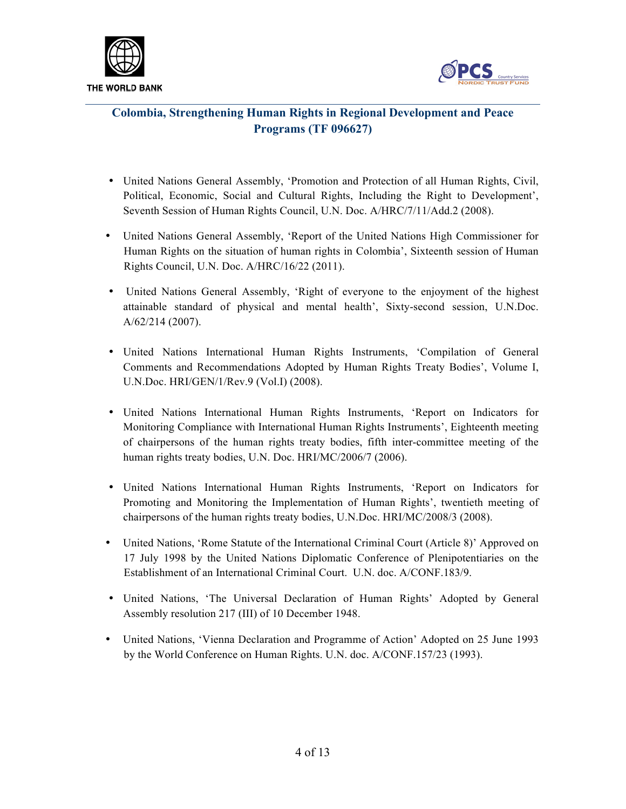



- United Nations General Assembly, 'Promotion and Protection of all Human Rights, Civil, Political, Economic, Social and Cultural Rights, Including the Right to Development', Seventh Session of Human Rights Council, U.N. Doc. A/HRC/7/11/Add.2 (2008).
- United Nations General Assembly, 'Report of the United Nations High Commissioner for Human Rights on the situation of human rights in Colombia', Sixteenth session of Human Rights Council, U.N. Doc. A/HRC/16/22 (2011).
- United Nations General Assembly, 'Right of everyone to the enjoyment of the highest attainable standard of physical and mental health', Sixty-second session, U.N.Doc. A/62/214 (2007).
- United Nations International Human Rights Instruments, 'Compilation of General Comments and Recommendations Adopted by Human Rights Treaty Bodies', Volume I, U.N.Doc. HRI/GEN/1/Rev.9 (Vol.I) (2008).
- United Nations International Human Rights Instruments, 'Report on Indicators for Monitoring Compliance with International Human Rights Instruments', Eighteenth meeting of chairpersons of the human rights treaty bodies, fifth inter-committee meeting of the human rights treaty bodies, U.N. Doc. HRI/MC/2006/7 (2006).
- United Nations International Human Rights Instruments, 'Report on Indicators for Promoting and Monitoring the Implementation of Human Rights', twentieth meeting of chairpersons of the human rights treaty bodies, U.N.Doc. HRI/MC/2008/3 (2008).
- United Nations, 'Rome Statute of the International Criminal Court (Article 8)' Approved on 17 July 1998 by the United Nations Diplomatic Conference of Plenipotentiaries on the Establishment of an International Criminal Court. U.N. doc. A/CONF.183/9.
- United Nations, 'The Universal Declaration of Human Rights' Adopted by General Assembly resolution 217 (III) of 10 December 1948.
- United Nations, 'Vienna Declaration and Programme of Action' Adopted on 25 June 1993 by the World Conference on Human Rights. U.N. doc. A/CONF.157/23 (1993).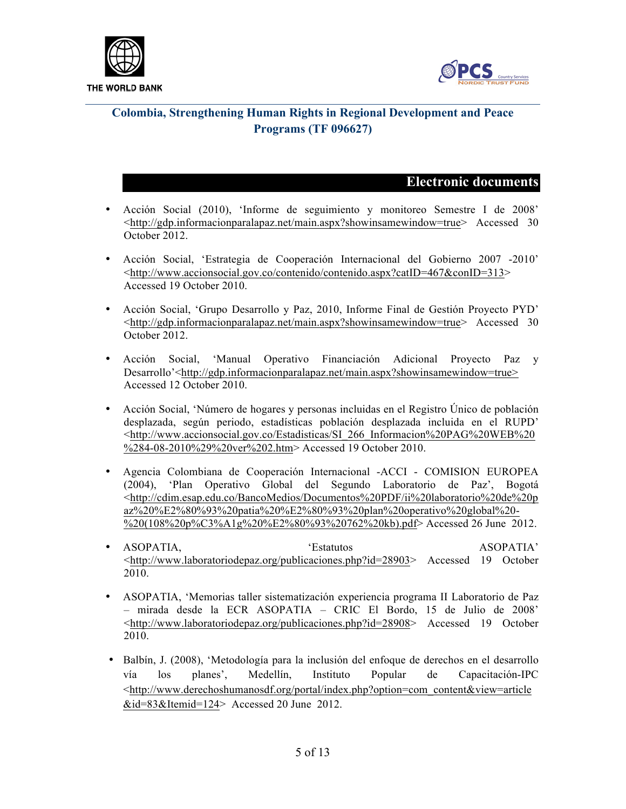



#### **Electronic documents**

- Acción Social (2010), 'Informe de seguimiento y monitoreo Semestre I de 2008' <http://gdp.informacionparalapaz.net/main.aspx?showinsamewindow=true> Accessed 30 October 2012.
- Acción Social, 'Estrategia de Cooperación Internacional del Gobierno 2007 -2010' <http://www.accionsocial.gov.co/contenido/contenido.aspx?catID=467&conID=313> Accessed 19 October 2010.
- Acción Social, 'Grupo Desarrollo y Paz, 2010, Informe Final de Gestión Proyecto PYD' <http://gdp.informacionparalapaz.net/main.aspx?showinsamewindow=true> Accessed 30 October 2012.
- Acción Social, 'Manual Operativo Financiación Adicional Proyecto Paz y Desarrollo'<http://gdp.informacionparalapaz.net/main.aspx?showinsamewindow=true> Accessed 12 October 2010.
- Acción Social, 'Número de hogares y personas incluidas en el Registro Único de población desplazada, según periodo, estadísticas población desplazada incluida en el RUPD' <http://www.accionsocial.gov.co/Estadisticas/SI\_266\_Informacion%20PAG%20WEB%20 %284-08-2010%29%20ver%202.htm> Accessed 19 October 2010.
- Agencia Colombiana de Cooperación Internacional -ACCI COMISION EUROPEA (2004), 'Plan Operativo Global del Segundo Laboratorio de Paz', Bogotá <http://cdim.esap.edu.co/BancoMedios/Documentos%20PDF/ii%20laboratorio%20de%20p az%20%E2%80%93%20patia%20%E2%80%93%20plan%20operativo%20global%20-  $\frac{1}{2020(108\%20p\%C3\%A1g\%20\%E2\%80\%93\%20762\%20kb).pdf > Accessed 26 June 2012.}$
- ASOPATIA,  $\bullet$  'Estatutos ASOPATIA' <http://www.laboratoriodepaz.org/publicaciones.php?id=28903> Accessed 19 October 2010.
- ASOPATIA, 'Memorias taller sistematización experiencia programa II Laboratorio de Paz – mirada desde la ECR ASOPATIA – CRIC El Bordo, 15 de Julio de 2008' <http://www.laboratoriodepaz.org/publicaciones.php?id=28908> Accessed 19 October 2010.
- Balbín, J. (2008), 'Metodología para la inclusión del enfoque de derechos en el desarrollo vía los planes', Medellín, Instituto Popular de Capacitación-IPC <http://www.derechoshumanosdf.org/portal/index.php?option=com\_content&view=article &id=83&Itemid=124> Accessed 20 June 2012.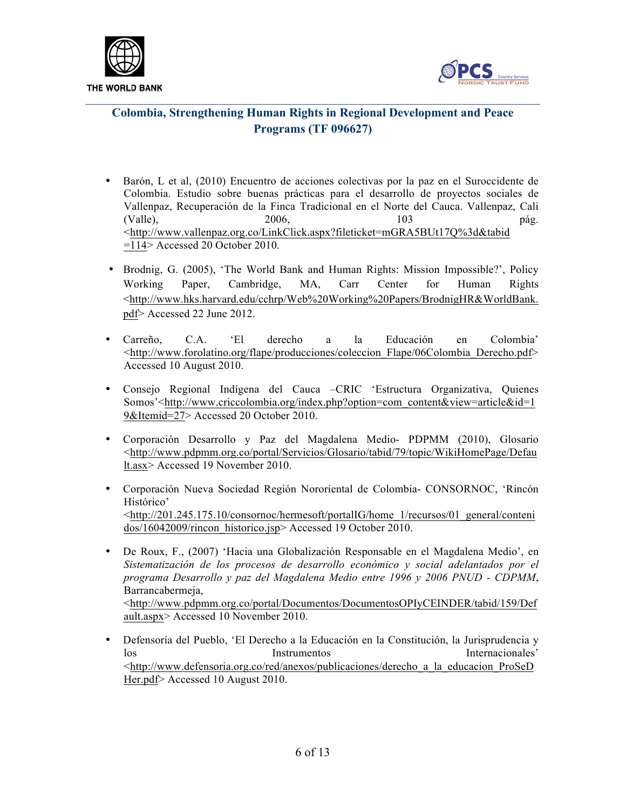



- Barón, L et al, (2010) Encuentro de acciones colectivas por la paz en el Suroccidente de Colombia. Estudio sobre buenas prácticas para el desarrollo de proyectos sociales de Vallenpaz, Recuperación de la Finca Tradicional en el Norte del Cauca. Vallenpaz, Cali (Valle), 2006, 103 pág. <http://www.vallenpaz.org.co/LinkClick.aspx?fileticket=mGRA5BUt17Q%3d&tabid  $=114$  Accessed 20 October 2010.
- Brodnig, G. (2005), 'The World Bank and Human Rights: Mission Impossible?', Policy Working Paper, Cambridge, MA, Carr Center for Human Rights <http://www.hks.harvard.edu/cchrp/Web%20Working%20Papers/BrodnigHR&WorldBank. pdf> Accessed 22 June 2012.
- Carreño, C.A. 'El derecho a la Educación en Colombia' <http://www.forolatino.org/flape/producciones/coleccion\_Flape/06Colombia\_Derecho.pdf> Accessed 10 August 2010.
- Consejo Regional Indígena del Cauca –CRIC 'Estructura Organizativa, Quienes Somos'<http://www.criccolombia.org/index.php?option=com\_content&view=article&id=1 9&Itemid=27> Accessed 20 October 2010.
- Corporación Desarrollo y Paz del Magdalena Medio- PDPMM (2010), Glosario <http://www.pdpmm.org.co/portal/Servicios/Glosario/tabid/79/topic/WikiHomePage/Defau lt.asx> Accessed 19 November 2010.
- Corporación Nueva Sociedad Región Nororiental de Colombia- CONSORNOC, 'Rincón Histórico' <http://201.245.175.10/consornoc/hermesoft/portalIG/home\_1/recursos/01\_general/conteni dos/16042009/rincon\_historico.jsp> Accessed 19 October 2010.
- De Roux, F., (2007) 'Hacia una Globalización Responsable en el Magdalena Medio', en *Sistematización de los procesos de desarrollo económico y social adelantados por el programa Desarrollo y paz del Magdalena Medio entre 1996 y 2006 PNUD - CDPMM*, Barrancabermeja, <http://www.pdpmm.org.co/portal/Documentos/DocumentosOPIyCEINDER/tabid/159/Def ault.aspx> Accessed 10 November 2010.
- Defensoría del Pueblo, 'El Derecho a la Educación en la Constitución, la Jurisprudencia y los Instrumentos Internacionales' <http://www.defensoria.org.co/red/anexos/publicaciones/derecho\_a\_la\_educacion\_ProSeD Her.pdf> Accessed 10 August 2010.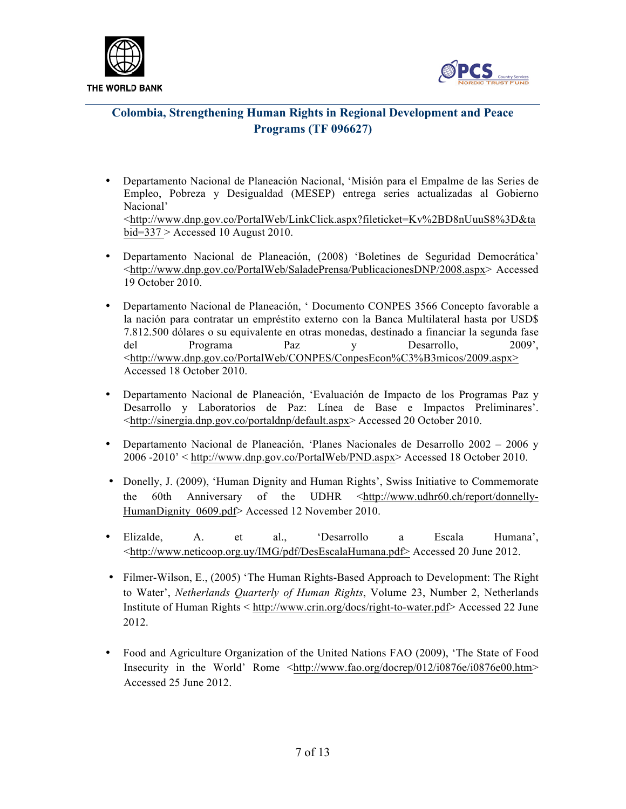



- Departamento Nacional de Planeación Nacional, 'Misión para el Empalme de las Series de Empleo, Pobreza y Desigualdad (MESEP) entrega series actualizadas al Gobierno Nacional' <http://www.dnp.gov.co/PortalWeb/LinkClick.aspx?fileticket=Kv%2BD8nUuuS8%3D&ta bid=337 > Accessed 10 August 2010.
- Departamento Nacional de Planeación, (2008) 'Boletines de Seguridad Democrática' <http://www.dnp.gov.co/PortalWeb/SaladePrensa/PublicacionesDNP/2008.aspx> Accessed 19 October 2010.
- Departamento Nacional de Planeación, ' Documento CONPES 3566 Concepto favorable a la nación para contratar un empréstito externo con la Banca Multilateral hasta por USD\$ 7.812.500 dólares o su equivalente en otras monedas, destinado a financiar la segunda fase del Programa Paz y Desarrollo, 2009', <http://www.dnp.gov.co/PortalWeb/CONPES/ConpesEcon%C3%B3micos/2009.aspx> Accessed 18 October 2010.
- Departamento Nacional de Planeación, 'Evaluación de Impacto de los Programas Paz y Desarrollo y Laboratorios de Paz: Línea de Base e Impactos Preliminares'. <http://sinergia.dnp.gov.co/portaldnp/default.aspx> Accessed 20 October 2010.
- Departamento Nacional de Planeación, 'Planes Nacionales de Desarrollo 2002 2006 y 2006 -2010' < http://www.dnp.gov.co/PortalWeb/PND.aspx> Accessed 18 October 2010.
- Donelly, J. (2009), 'Human Dignity and Human Rights', Swiss Initiative to Commemorate the 60th Anniversary of the UDHR <http://www.udhr60.ch/report/donnelly-HumanDignity 0609.pdf> Accessed 12 November 2010.
- Elizalde, A. et al., 'Desarrollo a Escala Humana', <http://www.neticoop.org.uy/IMG/pdf/DesEscalaHumana.pdf> Accessed 20 June 2012.
- Filmer-Wilson, E., (2005) 'The Human Rights-Based Approach to Development: The Right to Water', *Netherlands Quarterly of Human Rights*, Volume 23, Number 2, Netherlands Institute of Human Rights < http://www.crin.org/docs/right-to-water.pdf> Accessed 22 June 2012.
- Food and Agriculture Organization of the United Nations FAO (2009), 'The State of Food Insecurity in the World' Rome <http://www.fao.org/docrep/012/i0876e/i0876e00.htm> Accessed 25 June 2012.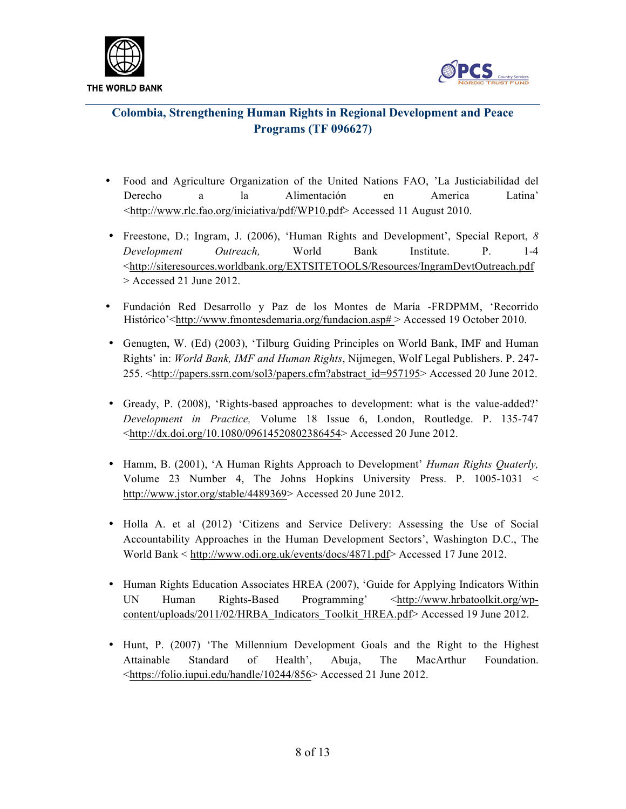



- Food and Agriculture Organization of the United Nations FAO, 'La Justiciabilidad del Derecho a la Alimentación en America Latina' <http://www.rlc.fao.org/iniciativa/pdf/WP10.pdf> Accessed 11 August 2010.
- Freestone, D.; Ingram, J. (2006), 'Human Rights and Development', Special Report, *8 Development Outreach,* World Bank Institute. P. 1-4 <http://siteresources.worldbank.org/EXTSITETOOLS/Resources/IngramDevtOutreach.pdf > Accessed 21 June 2012.
- Fundación Red Desarrollo y Paz de los Montes de María -FRDPMM, 'Recorrido Histórico'<http://www.fmontesdemaria.org/fundacion.asp# > Accessed 19 October 2010.
- Genugten, W. (Ed) (2003), 'Tilburg Guiding Principles on World Bank, IMF and Human Rights' in: *World Bank, IMF and Human Rights*, Nijmegen, Wolf Legal Publishers. P. 247- 255. <http://papers.ssrn.com/sol3/papers.cfm?abstract\_id=957195> Accessed 20 June 2012.
- Gready, P. (2008), 'Rights-based approaches to development: what is the value-added?' *Development in Practice,* Volume 18 Issue 6, London, Routledge. P. 135-747 <http://dx.doi.org/10.1080/09614520802386454> Accessed 20 June 2012.
- Hamm, B. (2001), 'A Human Rights Approach to Development' *Human Rights Quaterly,*  Volume 23 Number 4, The Johns Hopkins University Press. P. 1005-1031 < http://www.jstor.org/stable/4489369> Accessed 20 June 2012.
- Holla A. et al (2012) 'Citizens and Service Delivery: Assessing the Use of Social Accountability Approaches in the Human Development Sectors', Washington D.C., The World Bank < http://www.odi.org.uk/events/docs/4871.pdf> Accessed 17 June 2012.
- Human Rights Education Associates HREA (2007), 'Guide for Applying Indicators Within UN Human Rights-Based Programming' <http://www.hrbatoolkit.org/wpcontent/uploads/2011/02/HRBA\_Indicators\_Toolkit\_HREA.pdf> Accessed 19 June 2012.
- Hunt, P. (2007) 'The Millennium Development Goals and the Right to the Highest Attainable Standard of Health', Abuja, The MacArthur Foundation. <https://folio.iupui.edu/handle/10244/856> Accessed 21 June 2012.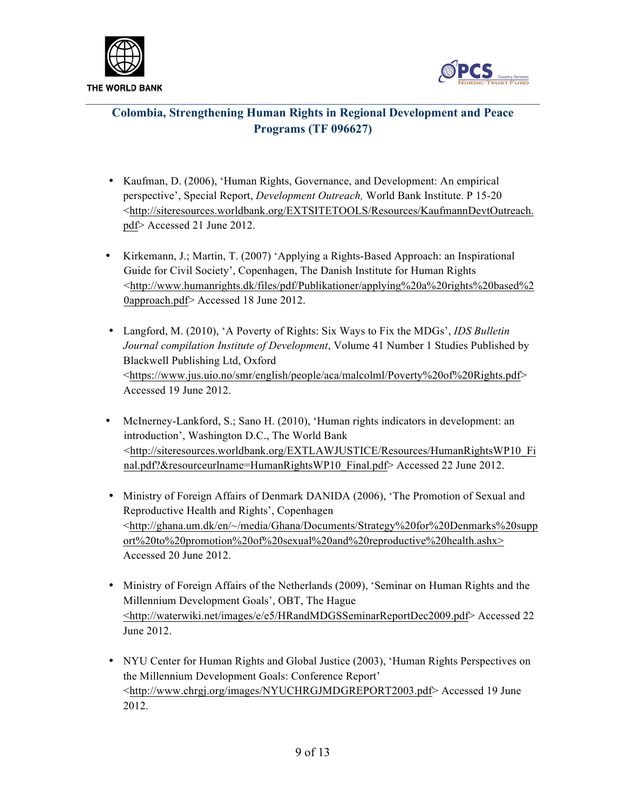



- Kaufman, D. (2006), 'Human Rights, Governance, and Development: An empirical perspective', Special Report, *Development Outreach,* World Bank Institute. P 15-20 <http://siteresources.worldbank.org/EXTSITETOOLS/Resources/KaufmannDevtOutreach. pdf> Accessed 21 June 2012.
- Kirkemann, J.; Martin, T. (2007) 'Applying a Rights-Based Approach: an Inspirational Guide for Civil Society', Copenhagen, The Danish Institute for Human Rights <http://www.humanrights.dk/files/pdf/Publikationer/applying%20a%20rights%20based%2 0approach.pdf> Accessed 18 June 2012.
- Langford, M. (2010), 'A Poverty of Rights: Six Ways to Fix the MDGs', *IDS Bulletin Journal compilation Institute of Development*, Volume 41 Number 1 Studies Published by Blackwell Publishing Ltd, Oxford <https://www.jus.uio.no/smr/english/people/aca/malcolml/Poverty%20of%20Rights.pdf> Accessed 19 June 2012.
- McInerney-Lankford, S.; Sano H. (2010), 'Human rights indicators in development: an introduction', Washington D.C., The World Bank <http://siteresources.worldbank.org/EXTLAWJUSTICE/Resources/HumanRightsWP10\_Fi nal.pdf?&resourceurlname=HumanRightsWP10\_Final.pdf> Accessed 22 June 2012.
- Ministry of Foreign Affairs of Denmark DANIDA (2006), 'The Promotion of Sexual and Reproductive Health and Rights', Copenhagen <http://ghana.um.dk/en/~/media/Ghana/Documents/Strategy%20for%20Denmarks%20supp ort%20to%20promotion%20of%20sexual%20and%20reproductive%20health.ashx> Accessed 20 June 2012.
- Ministry of Foreign Affairs of the Netherlands (2009), 'Seminar on Human Rights and the Millennium Development Goals', OBT, The Hague <http://waterwiki.net/images/e/e5/HRandMDGSSeminarReportDec2009.pdf> Accessed 22 June 2012.
- NYU Center for Human Rights and Global Justice (2003), 'Human Rights Perspectives on the Millennium Development Goals: Conference Report' <http://www.chrgj.org/images/NYUCHRGJMDGREPORT2003.pdf> Accessed 19 June 2012.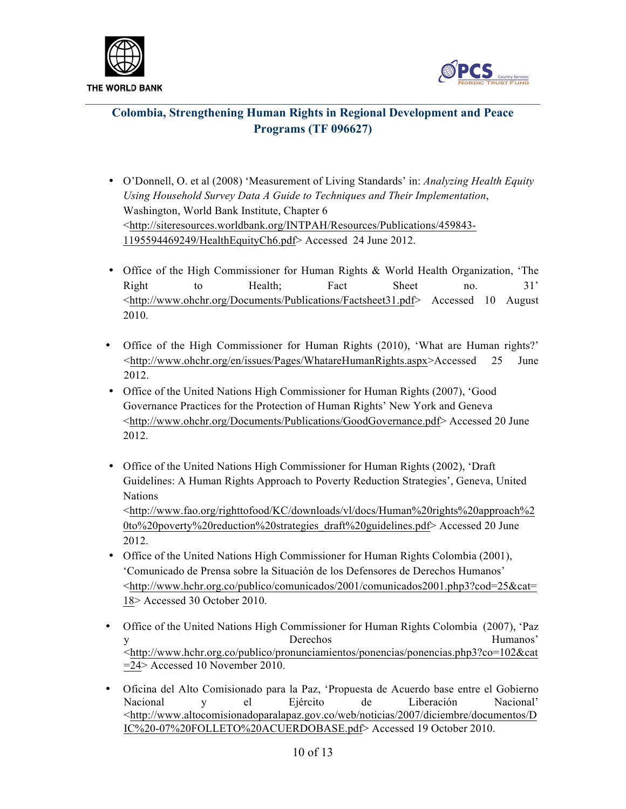



- O'Donnell, O. et al (2008) 'Measurement of Living Standards' in: *Analyzing Health Equity Using Household Survey Data A Guide to Techniques and Their Implementation*, Washington, World Bank Institute, Chapter 6 <http://siteresources.worldbank.org/INTPAH/Resources/Publications/459843- 1195594469249/HealthEquityCh6.pdf> Accessed 24 June 2012.
- Office of the High Commissioner for Human Rights & World Health Organization, 'The Right to Health; Fact Sheet no. 31' <http://www.ohchr.org/Documents/Publications/Factsheet31.pdf> Accessed 10 August 2010.
- Office of the High Commissioner for Human Rights (2010), 'What are Human rights?' <http://www.ohchr.org/en/issues/Pages/WhatareHumanRights.aspx>Accessed 25 June 2012.
- Office of the United Nations High Commissioner for Human Rights (2007), 'Good Governance Practices for the Protection of Human Rights' New York and Geneva <http://www.ohchr.org/Documents/Publications/GoodGovernance.pdf> Accessed 20 June 2012.
- Office of the United Nations High Commissioner for Human Rights (2002), 'Draft Guidelines: A Human Rights Approach to Poverty Reduction Strategies', Geneva, United Nations <http://www.fao.org/righttofood/KC/downloads/vl/docs/Human%20rights%20approach%2

0to%20poverty%20reduction%20strategies\_draft%20guidelines.pdf> Accessed 20 June 2012.

- Office of the United Nations High Commissioner for Human Rights Colombia (2001), 'Comunicado de Prensa sobre la Situación de los Defensores de Derechos Humanos' <http://www.hchr.org.co/publico/comunicados/2001/comunicados2001.php3?cod=25&cat= 18> Accessed 30 October 2010.
- Office of the United Nations High Commissioner for Human Rights Colombia (2007), 'Paz y Derechos Humanos' <http://www.hchr.org.co/publico/pronunciamientos/ponencias/ponencias.php3?co=102&cat =24> Accessed 10 November 2010.
- Oficina del Alto Comisionado para la Paz, 'Propuesta de Acuerdo base entre el Gobierno Nacional y el Ejército de Liberación Nacional' <http://www.altocomisionadoparalapaz.gov.co/web/noticias/2007/diciembre/documentos/D IC%20-07%20FOLLETO%20ACUERDOBASE.pdf> Accessed 19 October 2010.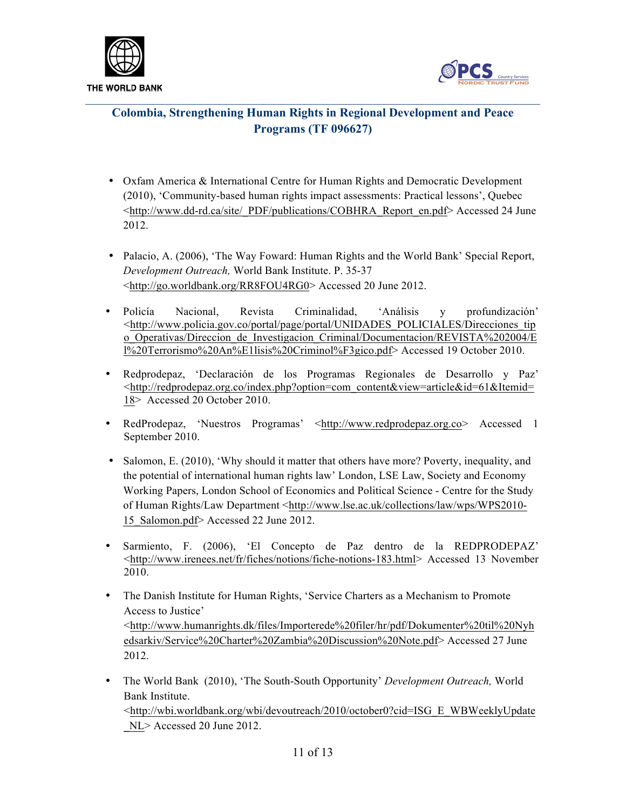



- Oxfam America & International Centre for Human Rights and Democratic Development (2010), 'Community-based human rights impact assessments: Practical lessons', Quebec <http://www.dd-rd.ca/site/\_PDF/publications/COBHRA\_Report\_en.pdf> Accessed 24 June 2012.
- Palacio, A. (2006), 'The Way Foward: Human Rights and the World Bank' Special Report, *Development Outreach,* World Bank Institute. P. 35-37 <http://go.worldbank.org/RR8FOU4RG0> Accessed 20 June 2012.
- Policía Nacional, Revista Criminalidad, 'Análisis y profundización' <http://www.policia.gov.co/portal/page/portal/UNIDADES\_POLICIALES/Direcciones\_tip o Operativas/Direccion de Investigacion Criminal/Documentacion/REVISTA%202004/E l%20Terrorismo%20An%E1lisis%20Criminol%F3gico.pdf> Accessed 19 October 2010.
- Redprodepaz, 'Declaración de los Programas Regionales de Desarrollo y Paz' <http://redprodepaz.org.co/index.php?option=com\_content&view=article&id=61&Itemid= 18> Accessed 20 October 2010.
- RedProdepaz, 'Nuestros Programas' <http://www.redprodepaz.org.co> Accessed 1 September 2010.
- Salomon, E. (2010), 'Why should it matter that others have more? Poverty, inequality, and the potential of international human rights law' London, LSE Law, Society and Economy Working Papers, London School of Economics and Political Science - Centre for the Study of Human Rights/Law Department <http://www.lse.ac.uk/collections/law/wps/WPS2010- 15 Salomon.pdf> Accessed 22 June 2012.
- Sarmiento, F. (2006), 'El Concepto de Paz dentro de la REDPRODEPAZ' <http://www.irenees.net/fr/fiches/notions/fiche-notions-183.html> Accessed 13 November 2010.
- The Danish Institute for Human Rights, 'Service Charters as a Mechanism to Promote Access to Justice' <http://www.humanrights.dk/files/Importerede%20filer/hr/pdf/Dokumenter%20til%20Nyh edsarkiv/Service%20Charter%20Zambia%20Discussion%20Note.pdf> Accessed 27 June 2012.
- The World Bank (2010), 'The South-South Opportunity' *Development Outreach,* World Bank Institute.

<http://wbi.worldbank.org/wbi/devoutreach/2010/october0?cid=ISG\_E\_WBWeeklyUpdate \_NL> Accessed 20 June 2012.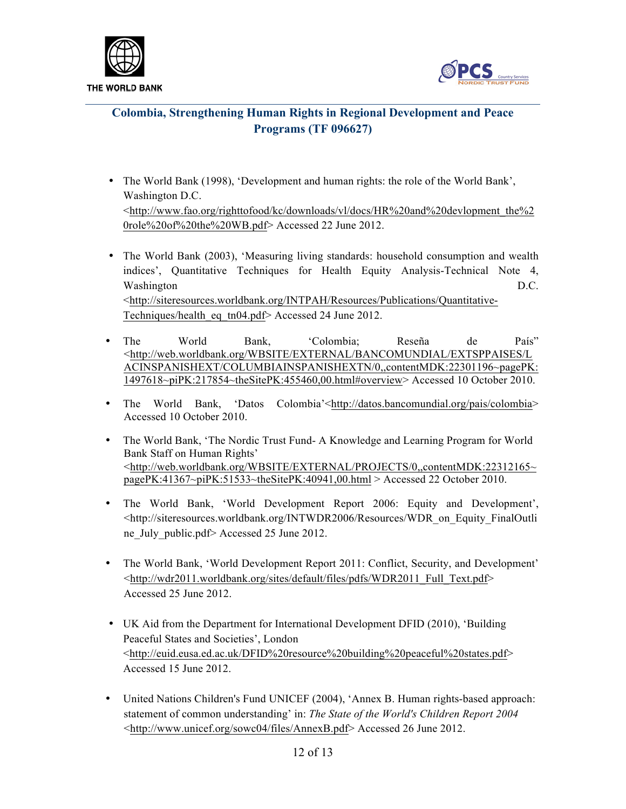



- The World Bank (1998), 'Development and human rights: the role of the World Bank', Washington D.C. <http://www.fao.org/righttofood/kc/downloads/vl/docs/HR%20and%20devlopment\_the%2 0role%20of%20the%20WB.pdf> Accessed 22 June 2012.
- The World Bank (2003), 'Measuring living standards: household consumption and wealth indices', Quantitative Techniques for Health Equity Analysis-Technical Note 4, Washington D.C. <http://siteresources.worldbank.org/INTPAH/Resources/Publications/Quantitative-Techniques/health\_eq\_tn04.pdf> Accessed 24 June 2012.
- The World Bank, 'Colombia; Reseña de País" <http://web.worldbank.org/WBSITE/EXTERNAL/BANCOMUNDIAL/EXTSPPAISES/L ACINSPANISHEXT/COLUMBIAINSPANISHEXTN/0,,contentMDK:22301196~pagePK: 1497618~piPK:217854~theSitePK:455460,00.html#overview> Accessed 10 October 2010.
- The World Bank, 'Datos Colombia'<http://datos.bancomundial.org/pais/colombia> Accessed 10 October 2010.
- The World Bank, 'The Nordic Trust Fund- A Knowledge and Learning Program for World Bank Staff on Human Rights' <http://web.worldbank.org/WBSITE/EXTERNAL/PROJECTS/0,,contentMDK:22312165~ pagePK:41367~piPK:51533~theSitePK:40941,00.html > Accessed 22 October 2010.
- The World Bank, 'World Development Report 2006: Equity and Development', <http://siteresources.worldbank.org/INTWDR2006/Resources/WDR\_on\_Equity\_FinalOutli ne\_July\_public.pdf> Accessed 25 June 2012.
- The World Bank, 'World Development Report 2011: Conflict, Security, and Development' <http://wdr2011.worldbank.org/sites/default/files/pdfs/WDR2011\_Full\_Text.pdf> Accessed 25 June 2012.
- UK Aid from the Department for International Development DFID (2010), 'Building Peaceful States and Societies', London <http://euid.eusa.ed.ac.uk/DFID%20resource%20building%20peaceful%20states.pdf> Accessed 15 June 2012.
- United Nations Children's Fund UNICEF (2004), 'Annex B. Human rights-based approach: statement of common understanding' in: *The State of the World's Children Report 2004* <http://www.unicef.org/sowc04/files/AnnexB.pdf> Accessed 26 June 2012.